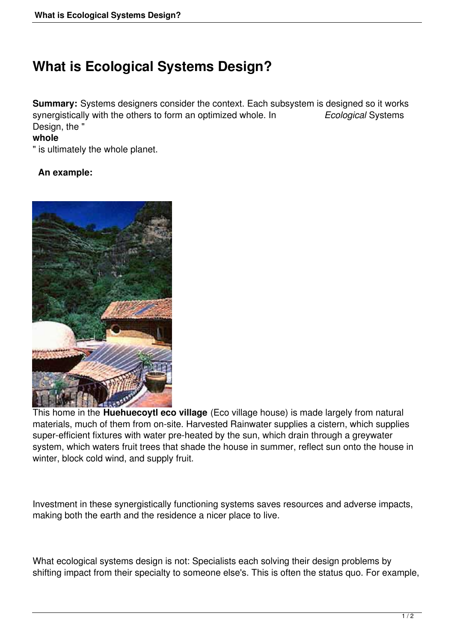## **What is Ecological Systems Design?**

**Summary:** Systems designers consider the context. Each subsystem is designed so it works synergistically with the others to form an optimized whole. In *Ecological* Systems Design, the "

## **whole**

" is ultimately the whole planet.

## **An example:**



This home in the **Huehuecoytl eco village** (Eco village house) is made largely from natural materials, much of them from on-site. Harvested Rainwater supplies a cistern, which supplies super-efficient fixtures with water pre-heated by the sun, which drain through a greywater system, which waters fruit trees that shade the house in summer, reflect sun onto the house in winter, block cold wind, and supply fruit.

Investment in these synergistically functioning systems saves resources and adverse impacts, making both the earth and the residence a nicer place to live.

What ecological systems design is not: Specialists each solving their design problems by shifting impact from their specialty to someone else's. This is often the status quo. For example,